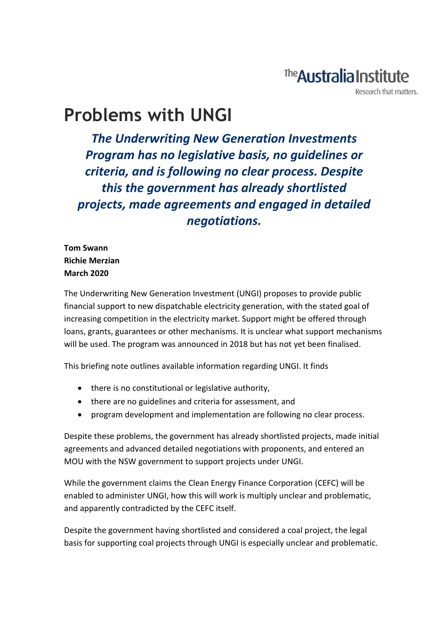# The **Australia Institute**

Research that matters.

# **Problems with UNGI**

*The Underwriting New Generation Investments Program has no legislative basis, no guidelines or criteria, and is following no clear process. Despite this the government has already shortlisted projects, made agreements and engaged in detailed negotiations.* 

**Tom Swann Richie Merzian March 2020**

The Underwriting New Generation Investment (UNGI) proposes to provide public financial support to new dispatchable electricity generation, with the stated goal of increasing competition in the electricity market. Support might be offered through loans, grants, guarantees or other mechanisms. It is unclear what support mechanisms will be used. The program was announced in 2018 but has not yet been finalised.

This briefing note outlines available information regarding UNGI. It finds

- there is no constitutional or legislative authority,
- there are no guidelines and criteria for assessment, and
- program development and implementation are following no clear process.

Despite these problems, the government has already shortlisted projects, made initial agreements and advanced detailed negotiations with proponents, and entered an MOU with the NSW government to support projects under UNGI.

While the government claims the Clean Energy Finance Corporation (CEFC) will be enabled to administer UNGI, how this will work is multiply unclear and problematic, and apparently contradicted by the CEFC itself.

Despite the government having shortlisted and considered a coal project, the legal basis for supporting coal projects through UNGI is especially unclear and problematic.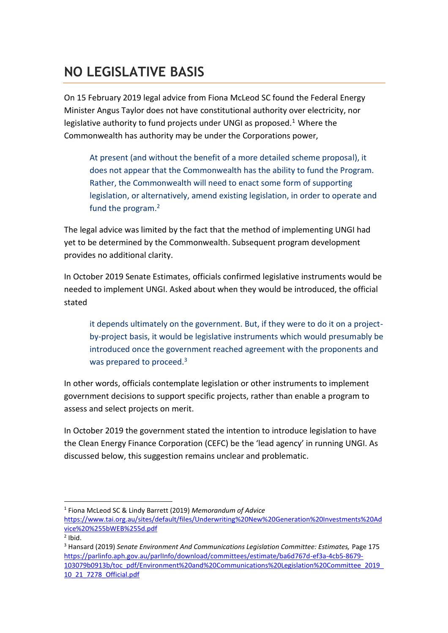### **NO LEGISLATIVE BASIS**

On 15 February 2019 legal advice from Fiona McLeod SC found the Federal Energy Minister Angus Taylor does not have constitutional authority over electricity, nor legislative authority to fund projects under UNGI as proposed. $1$  Where the Commonwealth has authority may be under the Corporations power,

At present (and without the benefit of a more detailed scheme proposal), it does not appear that the Commonwealth has the ability to fund the Program. Rather, the Commonwealth will need to enact some form of supporting legislation, or alternatively, amend existing legislation, in order to operate and fund the program.<sup>2</sup>

The legal advice was limited by the fact that the method of implementing UNGI had yet to be determined by the Commonwealth. Subsequent program development provides no additional clarity.

In October 2019 Senate Estimates, officials confirmed legislative instruments would be needed to implement UNGI. Asked about when they would be introduced, the official stated

it depends ultimately on the government. But, if they were to do it on a projectby-project basis, it would be legislative instruments which would presumably be introduced once the government reached agreement with the proponents and was prepared to proceed.<sup>3</sup>

In other words, officials contemplate legislation or other instruments to implement government decisions to support specific projects, rather than enable a program to assess and select projects on merit.

In October 2019 the government stated the intention to introduce legislation to have the Clean Energy Finance Corporation (CEFC) be the 'lead agency' in running UNGI. As discussed below, this suggestion remains unclear and problematic.

<sup>1</sup> Fiona McLeod SC & Lindy Barrett (2019) *Memorandum of Advice*

[https://www.tai.org.au/sites/default/files/Underwriting%20New%20Generation%20Investments%20Ad](https://www.tai.org.au/sites/default/files/Underwriting%20New%20Generation%20Investments%20Advice%20%255bWEB%255d.pdf) [vice%20%255bWEB%255d.pdf](https://www.tai.org.au/sites/default/files/Underwriting%20New%20Generation%20Investments%20Advice%20%255bWEB%255d.pdf)

 $<sup>2</sup>$  Ibid.</sup>

<sup>3</sup> Hansard (2019) *Senate Environment And Communications Legislation Committee: Estimates,* Page 175 [https://parlinfo.aph.gov.au/parlInfo/download/committees/estimate/ba6d767d-ef3a-4cb5-8679-](https://parlinfo.aph.gov.au/parlInfo/download/committees/estimate/ba6d767d-ef3a-4cb5-8679-103079b0913b/toc_pdf/Environment%20and%20Communications%20Legislation%20Committee_2019_10_21_7278_Official.pdf) [103079b0913b/toc\\_pdf/Environment%20and%20Communications%20Legislation%20Committee\\_2019\\_](https://parlinfo.aph.gov.au/parlInfo/download/committees/estimate/ba6d767d-ef3a-4cb5-8679-103079b0913b/toc_pdf/Environment%20and%20Communications%20Legislation%20Committee_2019_10_21_7278_Official.pdf) [10\\_21\\_7278\\_Official.pdf](https://parlinfo.aph.gov.au/parlInfo/download/committees/estimate/ba6d767d-ef3a-4cb5-8679-103079b0913b/toc_pdf/Environment%20and%20Communications%20Legislation%20Committee_2019_10_21_7278_Official.pdf)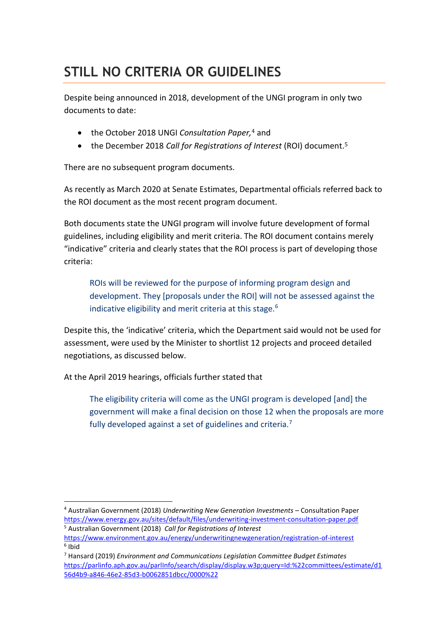### **STILL NO CRITERIA OR GUIDELINES**

Despite being announced in 2018, development of the UNGI program in only two documents to date:

- the October 2018 UNGI *Consultation Paper,*<sup>4</sup> and
- the December 2018 *Call for Registrations of Interest* (ROI) document.<sup>5</sup>

There are no subsequent program documents.

As recently as March 2020 at Senate Estimates, Departmental officials referred back to the ROI document as the most recent program document.

Both documents state the UNGI program will involve future development of formal guidelines, including eligibility and merit criteria. The ROI document contains merely "indicative" criteria and clearly states that the ROI process is part of developing those criteria:

ROIs will be reviewed for the purpose of informing program design and development. They [proposals under the ROI] will not be assessed against the indicative eligibility and merit criteria at this stage.<sup>6</sup>

Despite this, the 'indicative' criteria, which the Department said would not be used for assessment, were used by the Minister to shortlist 12 projects and proceed detailed negotiations, as discussed below.

At the April 2019 hearings, officials further stated that

The eligibility criteria will come as the UNGI program is developed [and] the government will make a final decision on those 12 when the proposals are more fully developed against a set of guidelines and criteria.<sup>7</sup>

<sup>4</sup> Australian Government (2018) *Underwriting New Generation Investments* – Consultation Paper <https://www.energy.gov.au/sites/default/files/underwriting-investment-consultation-paper.pdf> <sup>5</sup> Australian Government (2018) *Call for Registrations of Interest* 

<https://www.environment.gov.au/energy/underwritingnewgeneration/registration-of-interest> 6 Ibid

<sup>7</sup> Hansard (2019) *Environment and Communications Legislation Committee Budget Estimates*  [https://parlinfo.aph.gov.au/parlInfo/search/display/display.w3p;query=Id:%22committees/estimate/d1](https://parlinfo.aph.gov.au/parlInfo/search/display/display.w3p;query=Id:%22committees/estimate/d156d4b9-a846-46e2-85d3-b0062851dbcc/0000%22) [56d4b9-a846-46e2-85d3-b0062851dbcc/0000%22](https://parlinfo.aph.gov.au/parlInfo/search/display/display.w3p;query=Id:%22committees/estimate/d156d4b9-a846-46e2-85d3-b0062851dbcc/0000%22)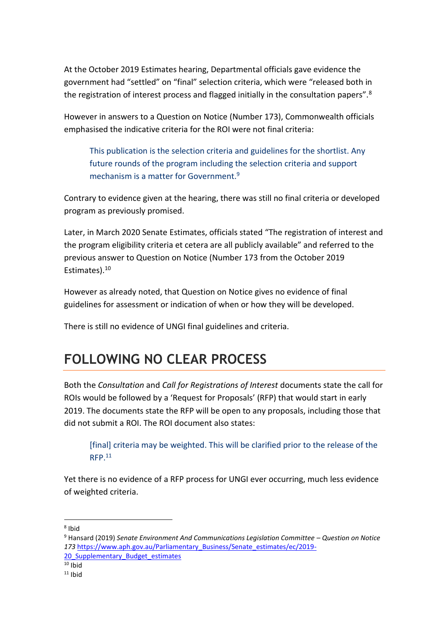At the October 2019 Estimates hearing, Departmental officials gave evidence the government had "settled" on "final" selection criteria, which were "released both in the registration of interest process and flagged initially in the consultation papers".<sup>8</sup>

However in answers to a Question on Notice (Number 173), Commonwealth officials emphasised the indicative criteria for the ROI were not final criteria:

This publication is the selection criteria and guidelines for the shortlist. Any future rounds of the program including the selection criteria and support mechanism is a matter for Government.<sup>9</sup>

Contrary to evidence given at the hearing, there was still no final criteria or developed program as previously promised.

Later, in March 2020 Senate Estimates, officials stated "The registration of interest and the program eligibility criteria et cetera are all publicly available" and referred to the previous answer to Question on Notice (Number 173 from the October 2019 Estimates).<sup>10</sup>

However as already noted, that Question on Notice gives no evidence of final guidelines for assessment or indication of when or how they will be developed.

There is still no evidence of UNGI final guidelines and criteria.

#### **FOLLOWING NO CLEAR PROCESS**

Both the *Consultation* and *Call for Registrations of Interest* documents state the call for ROIs would be followed by a 'Request for Proposals' (RFP) that would start in early 2019. The documents state the RFP will be open to any proposals, including those that did not submit a ROI. The ROI document also states:

[final] criteria may be weighted. This will be clarified prior to the release of the  $RFP<sub>11</sub>$ 

Yet there is no evidence of a RFP process for UNGI ever occurring, much less evidence of weighted criteria.

<sup>9</sup> Hansard (2019) *Senate Environment And Communications Legislation Committee – Question on Notice 173* [https://www.aph.gov.au/Parliamentary\\_Business/Senate\\_estimates/ec/2019-](https://www.aph.gov.au/Parliamentary_Business/Senate_estimates/ec/2019-20_Supplementary_Budget_estimates) 20 Supplementary Budget estimates

<sup>8</sup> Ibid

 $10$  Ibid

 $11$  Ibid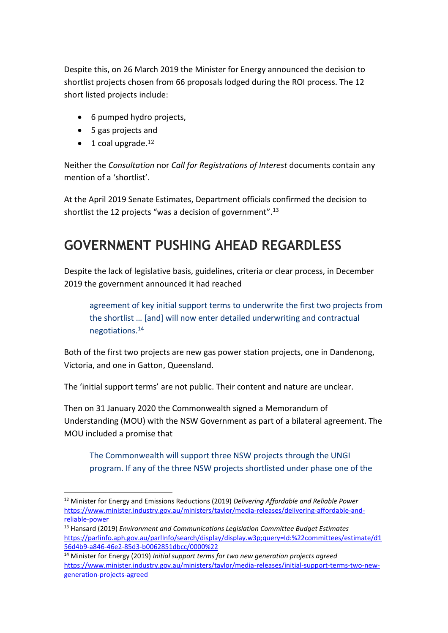Despite this, on 26 March 2019 the Minister for Energy announced the decision to shortlist projects chosen from 66 proposals lodged during the ROI process. The 12 short listed projects include:

- 6 pumped hydro projects,
- 5 gas projects and
- $\bullet$  1 coal upgrade.<sup>12</sup>

Neither the *Consultation* nor *Call for Registrations of Interest* documents contain any mention of a 'shortlist'.

At the April 2019 Senate Estimates, Department officials confirmed the decision to shortlist the 12 projects "was a decision of government".<sup>13</sup>

#### **GOVERNMENT PUSHING AHEAD REGARDLESS**

Despite the lack of legislative basis, guidelines, criteria or clear process, in December 2019 the government announced it had reached

agreement of key initial support terms to underwrite the first two projects from the shortlist … [and] will now enter detailed underwriting and contractual negotiations.<sup>14</sup>

Both of the first two projects are new gas power station projects, one in Dandenong, Victoria, and one in Gatton, Queensland.

The 'initial support terms' are not public. Their content and nature are unclear.

Then on 31 January 2020 the Commonwealth signed a Memorandum of Understanding (MOU) with the NSW Government as part of a bilateral agreement. The MOU included a promise that

The Commonwealth will support three NSW projects through the UNGI program. If any of the three NSW projects shortlisted under phase one of the

<sup>12</sup> Minister for Energy and Emissions Reductions (2019) *Delivering Affordable and Reliable Power*  [https://www.minister.industry.gov.au/ministers/taylor/media-releases/delivering-affordable-and](https://www.minister.industry.gov.au/ministers/taylor/media-releases/delivering-affordable-and-reliable-power)[reliable-power](https://www.minister.industry.gov.au/ministers/taylor/media-releases/delivering-affordable-and-reliable-power)

<sup>13</sup> Hansard (2019) *Environment and Communications Legislation Committee Budget Estimates*  [https://parlinfo.aph.gov.au/parlInfo/search/display/display.w3p;query=Id:%22committees/estimate/d1](https://parlinfo.aph.gov.au/parlInfo/search/display/display.w3p;query=Id:%22committees/estimate/d156d4b9-a846-46e2-85d3-b0062851dbcc/0000%22) [56d4b9-a846-46e2-85d3-b0062851dbcc/0000%22](https://parlinfo.aph.gov.au/parlInfo/search/display/display.w3p;query=Id:%22committees/estimate/d156d4b9-a846-46e2-85d3-b0062851dbcc/0000%22)

<sup>14</sup> Minister for Energy (2019) *Initial support terms for two new generation projects agreed* [https://www.minister.industry.gov.au/ministers/taylor/media-releases/initial-support-terms-two-new](https://www.minister.industry.gov.au/ministers/taylor/media-releases/initial-support-terms-two-new-generation-projects-agreed)[generation-projects-agreed](https://www.minister.industry.gov.au/ministers/taylor/media-releases/initial-support-terms-two-new-generation-projects-agreed)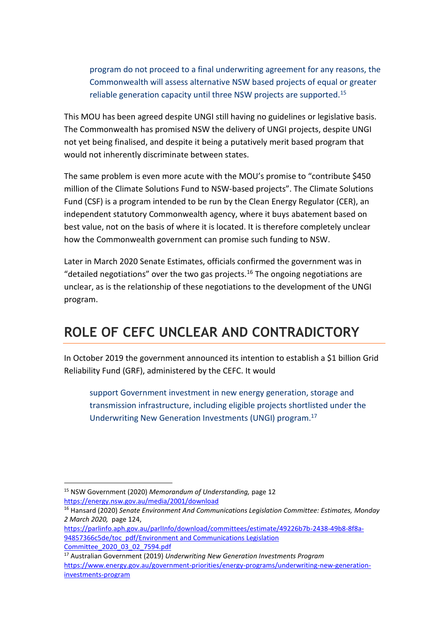program do not proceed to a final underwriting agreement for any reasons, the Commonwealth will assess alternative NSW based projects of equal or greater reliable generation capacity until three NSW projects are supported.<sup>15</sup>

This MOU has been agreed despite UNGI still having no guidelines or legislative basis. The Commonwealth has promised NSW the delivery of UNGI projects, despite UNGI not yet being finalised, and despite it being a putatively merit based program that would not inherently discriminate between states.

The same problem is even more acute with the MOU's promise to "contribute \$450 million of the Climate Solutions Fund to NSW-based projects". The Climate Solutions Fund (CSF) is a program intended to be run by the Clean Energy Regulator (CER), an independent statutory Commonwealth agency, where it buys abatement based on best value, not on the basis of where it is located. It is therefore completely unclear how the Commonwealth government can promise such funding to NSW.

Later in March 2020 Senate Estimates, officials confirmed the government was in "detailed negotiations" over the two gas projects.<sup>16</sup> The ongoing negotiations are unclear, as is the relationship of these negotiations to the development of the UNGI program.

#### **ROLE OF CEFC UNCLEAR AND CONTRADICTORY**

In October 2019 the government announced its intention to establish a \$1 billion Grid Reliability Fund (GRF), administered by the CEFC. It would

support Government investment in new energy generation, storage and transmission infrastructure, including eligible projects shortlisted under the Underwriting New Generation Investments (UNGI) program.<sup>17</sup>

<sup>15</sup> NSW Government (2020) *Memorandum of Understanding,* page 12 <https://energy.nsw.gov.au/media/2001/download>

<sup>16</sup> Hansard (2020) *Senate Environment And Communications Legislation Committee: Estimates, Monday 2 March 2020,* page 124,

[https://parlinfo.aph.gov.au/parlInfo/download/committees/estimate/49226b7b-2438-49b8-8f8a-](https://parlinfo.aph.gov.au/parlInfo/download/committees/estimate/49226b7b-2438-49b8-8f8a-94857366c5de/toc_pdf/Environment%20and%20Communications%20Legislation%20Committee_2020_03_02_7594.pdf)94857366c5de/toc\_pdf/Environment and Communications Legislation [Committee\\_2020\\_03\\_02\\_7594.pdf](https://parlinfo.aph.gov.au/parlInfo/download/committees/estimate/49226b7b-2438-49b8-8f8a-94857366c5de/toc_pdf/Environment%20and%20Communications%20Legislation%20Committee_2020_03_02_7594.pdf)

<sup>17</sup> Australian Government (2019) *Underwriting New Generation Investments Program* [https://www.energy.gov.au/government-priorities/energy-programs/underwriting-new-generation](https://www.energy.gov.au/government-priorities/energy-programs/underwriting-new-generation-investments-program)[investments-program](https://www.energy.gov.au/government-priorities/energy-programs/underwriting-new-generation-investments-program)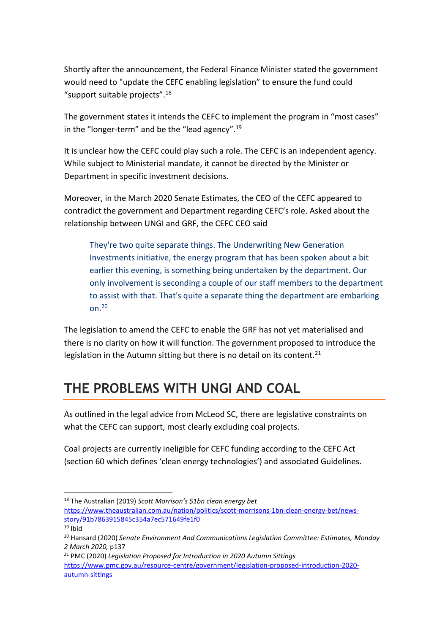Shortly after the announcement, the Federal Finance Minister stated the government would need to "update the CEFC enabling legislation" to ensure the fund could "support suitable projects".<sup>18</sup>

The government states it intends the CEFC to implement the program in "most cases" in the "longer-term" and be the "lead agency".<sup>19</sup>

It is unclear how the CEFC could play such a role. The CEFC is an independent agency. While subject to Ministerial mandate, it cannot be directed by the Minister or Department in specific investment decisions.

Moreover, in the March 2020 Senate Estimates, the CEO of the CEFC appeared to contradict the government and Department regarding CEFC's role. Asked about the relationship between UNGI and GRF, the CEFC CEO said

They're two quite separate things. The Underwriting New Generation Investments initiative, the energy program that has been spoken about a bit earlier this evening, is something being undertaken by the department. Our only involvement is seconding a couple of our staff members to the department to assist with that. That's quite a separate thing the department are embarking on.<sup>20</sup>

The legislation to amend the CEFC to enable the GRF has not yet materialised and there is no clarity on how it will function. The government proposed to introduce the legislation in the Autumn sitting but there is no detail on its content.<sup>21</sup>

#### **THE PROBLEMS WITH UNGI AND COAL**

As outlined in the legal advice from McLeod SC, there are legislative constraints on what the CEFC can support, most clearly excluding coal projects.

Coal projects are currently ineligible for CEFC funding according to the CEFC Act (section 60 which defines 'clean energy technologies') and associated Guidelines.

<sup>18</sup> The Australian (2019) *Scott Morrison's \$1bn clean energy bet* [https://www.theaustralian.com.au/nation/politics/scott-morrisons-1bn-clean-energy-bet/news](https://www.theaustralian.com.au/nation/politics/scott-morrisons-1bn-clean-energy-bet/news-story/91b7863915845c354a7ec571649fe1f0)[story/91b7863915845c354a7ec571649fe1f0](https://www.theaustralian.com.au/nation/politics/scott-morrisons-1bn-clean-energy-bet/news-story/91b7863915845c354a7ec571649fe1f0)

 $19$  Ibid

<sup>20</sup> Hansard (2020) *Senate Environment And Communications Legislation Committee: Estimates, Monday 2 March 2020,* p137

<sup>21</sup> PMC (2020) *Legislation Proposed for Introduction in 2020 Autumn Sittings*  [https://www.pmc.gov.au/resource-centre/government/legislation-proposed-introduction-2020](https://www.pmc.gov.au/resource-centre/government/legislation-proposed-introduction-2020-autumn-sittings) [autumn-sittings](https://www.pmc.gov.au/resource-centre/government/legislation-proposed-introduction-2020-autumn-sittings)